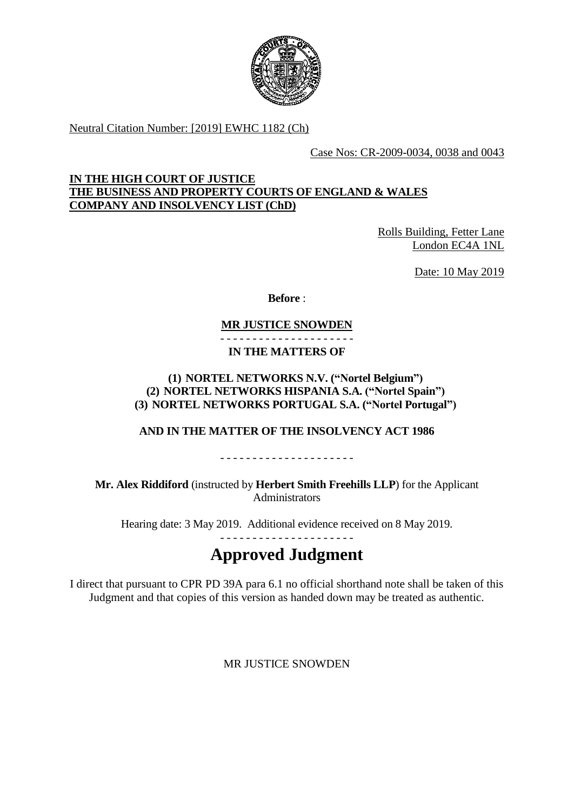

Neutral Citation Number: [2019] EWHC 1182 (Ch)

Case Nos: CR-2009-0034, 0038 and 0043

# **IN THE HIGH COURT OF JUSTICE THE BUSINESS AND PROPERTY COURTS OF ENGLAND & WALES COMPANY AND INSOLVENCY LIST (ChD)**

Rolls Building, Fetter Lane London EC4A 1NL

Date: 10 May 2019

**Before** :

# **MR JUSTICE SNOWDEN**

- - - - - - - - - - - - - - - - - - - - - **IN THE MATTERS OF**

# **(1) NORTEL NETWORKS N.V. ("Nortel Belgium") (2) NORTEL NETWORKS HISPANIA S.A. ("Nortel Spain") (3) NORTEL NETWORKS PORTUGAL S.A. ("Nortel Portugal")**

# **AND IN THE MATTER OF THE INSOLVENCY ACT 1986**

- - - - - - - - - - - - - - - - - - - - -

**Mr. Alex Riddiford** (instructed by **Herbert Smith Freehills LLP**) for the Applicant **Administrators** 

Hearing date: 3 May 2019. Additional evidence received on 8 May 2019. - - - - - - - - - - - - - - - - - - - - -

# **Approved Judgment**

I direct that pursuant to CPR PD 39A para 6.1 no official shorthand note shall be taken of this Judgment and that copies of this version as handed down may be treated as authentic.

MR JUSTICE SNOWDEN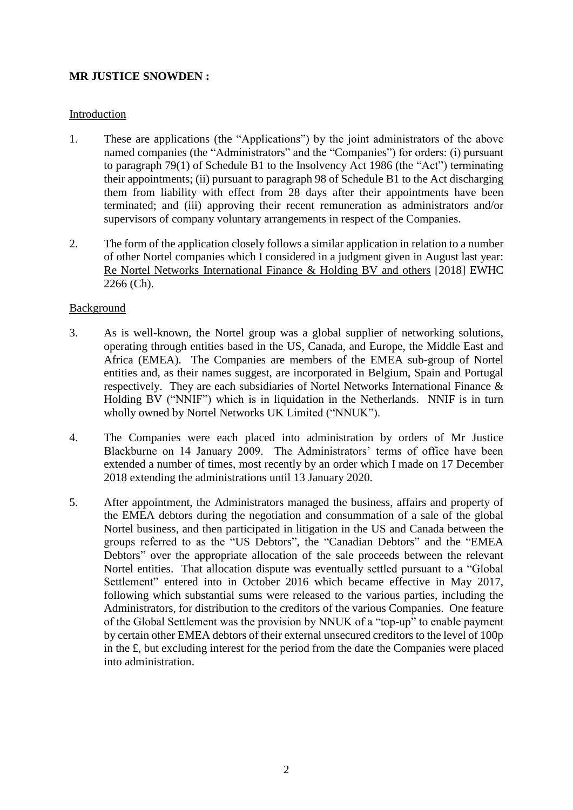# **MR JUSTICE SNOWDEN :**

## Introduction

- 1. These are applications (the "Applications") by the joint administrators of the above named companies (the "Administrators" and the "Companies") for orders: (i) pursuant to paragraph 79(1) of Schedule B1 to the Insolvency Act 1986 (the "Act") terminating their appointments; (ii) pursuant to paragraph 98 of Schedule B1 to the Act discharging them from liability with effect from 28 days after their appointments have been terminated; and (iii) approving their recent remuneration as administrators and/or supervisors of company voluntary arrangements in respect of the Companies.
- 2. The form of the application closely follows a similar application in relation to a number of other Nortel companies which I considered in a judgment given in August last year: Re Nortel Networks International Finance & Holding BV and others [2018] EWHC 2266 (Ch).

## Background

- 3. As is well-known, the Nortel group was a global supplier of networking solutions, operating through entities based in the US, Canada, and Europe, the Middle East and Africa (EMEA). The Companies are members of the EMEA sub-group of Nortel entities and, as their names suggest, are incorporated in Belgium, Spain and Portugal respectively. They are each subsidiaries of Nortel Networks International Finance & Holding BV ("NNIF") which is in liquidation in the Netherlands. NNIF is in turn wholly owned by Nortel Networks UK Limited ("NNUK").
- 4. The Companies were each placed into administration by orders of Mr Justice Blackburne on 14 January 2009. The Administrators' terms of office have been extended a number of times, most recently by an order which I made on 17 December 2018 extending the administrations until 13 January 2020.
- 5. After appointment, the Administrators managed the business, affairs and property of the EMEA debtors during the negotiation and consummation of a sale of the global Nortel business, and then participated in litigation in the US and Canada between the groups referred to as the "US Debtors", the "Canadian Debtors" and the "EMEA Debtors" over the appropriate allocation of the sale proceeds between the relevant Nortel entities. That allocation dispute was eventually settled pursuant to a "Global Settlement" entered into in October 2016 which became effective in May 2017, following which substantial sums were released to the various parties, including the Administrators, for distribution to the creditors of the various Companies. One feature of the Global Settlement was the provision by NNUK of a "top-up" to enable payment by certain other EMEA debtors of their external unsecured creditors to the level of 100p in the £, but excluding interest for the period from the date the Companies were placed into administration.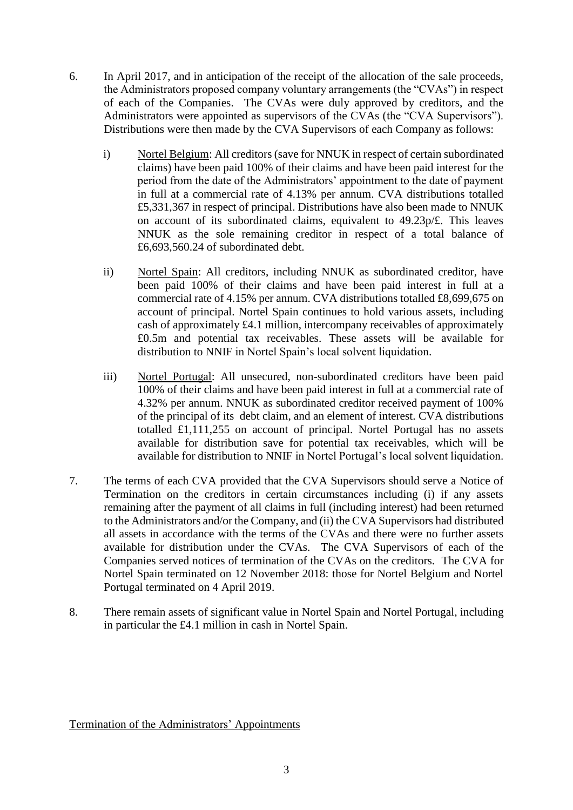- 6. In April 2017, and in anticipation of the receipt of the allocation of the sale proceeds, the Administrators proposed company voluntary arrangements (the "CVAs") in respect of each of the Companies. The CVAs were duly approved by creditors, and the Administrators were appointed as supervisors of the CVAs (the "CVA Supervisors"). Distributions were then made by the CVA Supervisors of each Company as follows:
	- i) Nortel Belgium: All creditors (save for NNUK in respect of certain subordinated claims) have been paid 100% of their claims and have been paid interest for the period from the date of the Administrators' appointment to the date of payment in full at a commercial rate of 4.13% per annum. CVA distributions totalled £5,331,367 in respect of principal. Distributions have also been made to NNUK on account of its subordinated claims, equivalent to 49.23p/£. This leaves NNUK as the sole remaining creditor in respect of a total balance of £6,693,560.24 of subordinated debt.
	- ii) Nortel Spain: All creditors, including NNUK as subordinated creditor, have been paid 100% of their claims and have been paid interest in full at a commercial rate of 4.15% per annum. CVA distributions totalled £8,699,675 on account of principal. Nortel Spain continues to hold various assets, including cash of approximately £4.1 million, intercompany receivables of approximately £0.5m and potential tax receivables. These assets will be available for distribution to NNIF in Nortel Spain's local solvent liquidation.
	- iii) Nortel Portugal: All unsecured, non-subordinated creditors have been paid 100% of their claims and have been paid interest in full at a commercial rate of 4.32% per annum. NNUK as subordinated creditor received payment of 100% of the principal of its debt claim, and an element of interest. CVA distributions totalled £1,111,255 on account of principal. Nortel Portugal has no assets available for distribution save for potential tax receivables, which will be available for distribution to NNIF in Nortel Portugal's local solvent liquidation.
- 7. The terms of each CVA provided that the CVA Supervisors should serve a Notice of Termination on the creditors in certain circumstances including (i) if any assets remaining after the payment of all claims in full (including interest) had been returned to the Administrators and/or the Company, and (ii) the CVA Supervisors had distributed all assets in accordance with the terms of the CVAs and there were no further assets available for distribution under the CVAs. The CVA Supervisors of each of the Companies served notices of termination of the CVAs on the creditors. The CVA for Nortel Spain terminated on 12 November 2018: those for Nortel Belgium and Nortel Portugal terminated on 4 April 2019.
- 8. There remain assets of significant value in Nortel Spain and Nortel Portugal, including in particular the £4.1 million in cash in Nortel Spain.

Termination of the Administrators' Appointments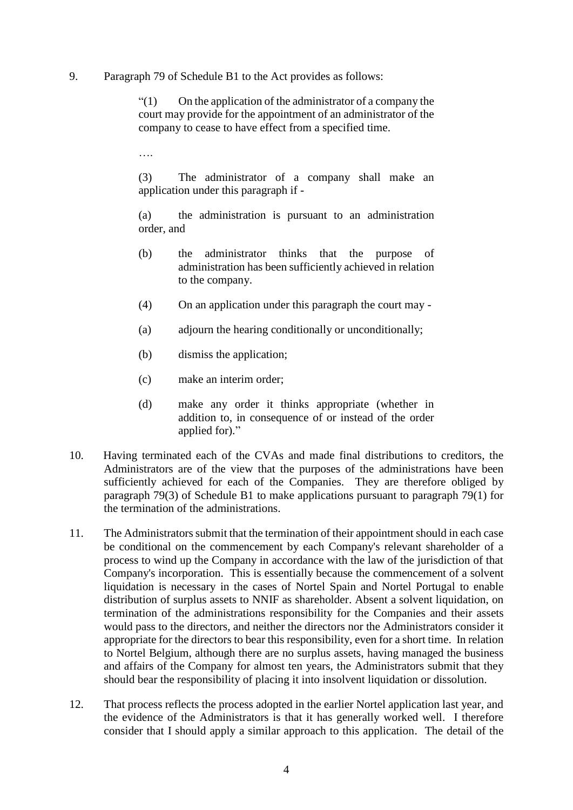#### 9. Paragraph 79 of Schedule B1 to the Act provides as follows:

"(1) On the application of the administrator of a company the court may provide for the appointment of an administrator of the company to cease to have effect from a specified time.

….

(3) The administrator of a company shall make an application under this paragraph if -

(a) the administration is pursuant to an administration order, and

- (b) the administrator thinks that the purpose of administration has been sufficiently achieved in relation to the company.
- (4) On an application under this paragraph the court may -
- (a) adjourn the hearing conditionally or unconditionally;
- (b) dismiss the application;
- (c) make an interim order;
- (d) make any order it thinks appropriate (whether in addition to, in consequence of or instead of the order applied for)."
- 10. Having terminated each of the CVAs and made final distributions to creditors, the Administrators are of the view that the purposes of the administrations have been sufficiently achieved for each of the Companies. They are therefore obliged by paragraph 79(3) of Schedule B1 to make applications pursuant to paragraph 79(1) for the termination of the administrations.
- 11. The Administrators submit that the termination of their appointment should in each case be conditional on the commencement by each Company's relevant shareholder of a process to wind up the Company in accordance with the law of the jurisdiction of that Company's incorporation. This is essentially because the commencement of a solvent liquidation is necessary in the cases of Nortel Spain and Nortel Portugal to enable distribution of surplus assets to NNIF as shareholder. Absent a solvent liquidation, on termination of the administrations responsibility for the Companies and their assets would pass to the directors, and neither the directors nor the Administrators consider it appropriate for the directors to bear this responsibility, even for a short time. In relation to Nortel Belgium, although there are no surplus assets, having managed the business and affairs of the Company for almost ten years, the Administrators submit that they should bear the responsibility of placing it into insolvent liquidation or dissolution.
- 12. That process reflects the process adopted in the earlier Nortel application last year, and the evidence of the Administrators is that it has generally worked well. I therefore consider that I should apply a similar approach to this application. The detail of the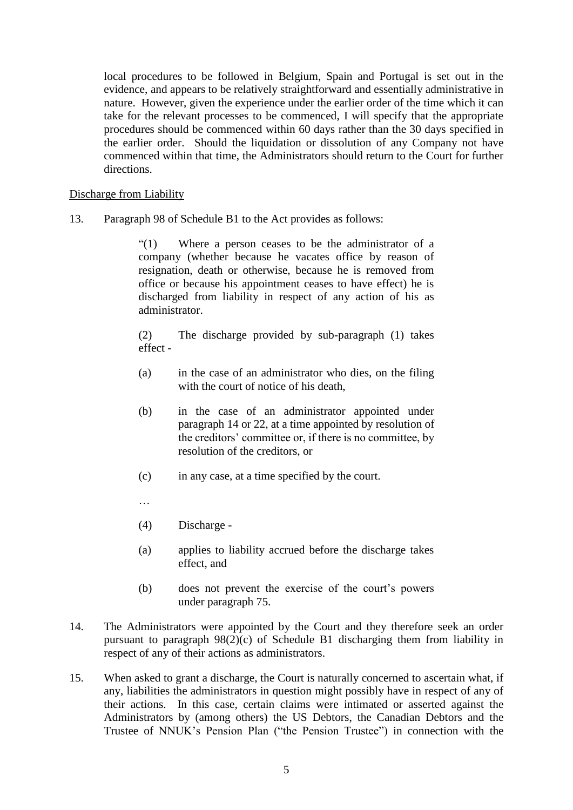local procedures to be followed in Belgium, Spain and Portugal is set out in the evidence, and appears to be relatively straightforward and essentially administrative in nature. However, given the experience under the earlier order of the time which it can take for the relevant processes to be commenced, I will specify that the appropriate procedures should be commenced within 60 days rather than the 30 days specified in the earlier order. Should the liquidation or dissolution of any Company not have commenced within that time, the Administrators should return to the Court for further directions.

#### Discharge from Liability

13. Paragraph 98 of Schedule B1 to the Act provides as follows:

"(1) Where a person ceases to be the administrator of a company (whether because he vacates office by reason of resignation, death or otherwise, because he is removed from office or because his appointment ceases to have effect) he is discharged from liability in respect of any action of his as administrator.

(2) The discharge provided by sub-paragraph (1) takes effect -

- (a) in the case of an administrator who dies, on the filing with the court of notice of his death.
- (b) in the case of an administrator appointed under paragraph 14 or 22, at a time appointed by resolution of the creditors' committee or, if there is no committee, by resolution of the creditors, or
- (c) in any case, at a time specified by the court.
- …
- (4) Discharge -
- (a) applies to liability accrued before the discharge takes effect, and
- (b) does not prevent the exercise of the court's powers under paragraph 75.
- 14. The Administrators were appointed by the Court and they therefore seek an order pursuant to paragraph 98(2)(c) of Schedule B1 discharging them from liability in respect of any of their actions as administrators.
- 15. When asked to grant a discharge, the Court is naturally concerned to ascertain what, if any, liabilities the administrators in question might possibly have in respect of any of their actions. In this case, certain claims were intimated or asserted against the Administrators by (among others) the US Debtors, the Canadian Debtors and the Trustee of NNUK's Pension Plan ("the Pension Trustee") in connection with the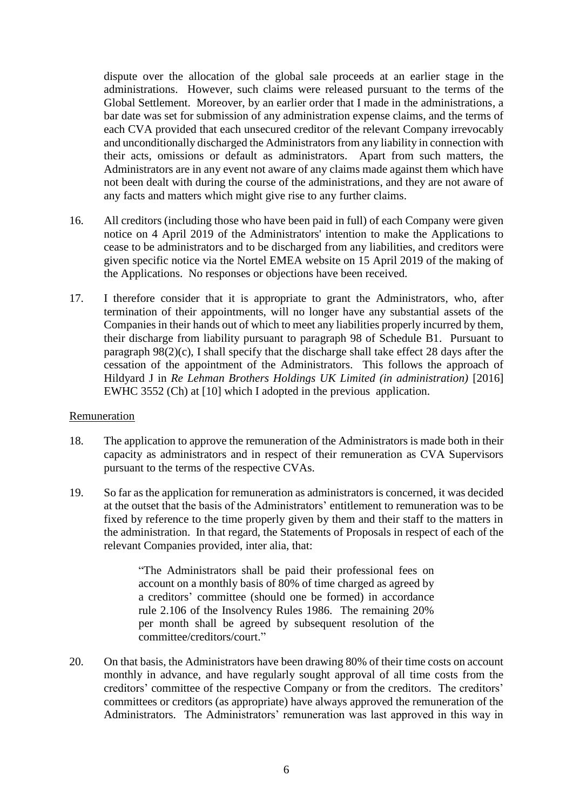dispute over the allocation of the global sale proceeds at an earlier stage in the administrations. However, such claims were released pursuant to the terms of the Global Settlement. Moreover, by an earlier order that I made in the administrations, a bar date was set for submission of any administration expense claims, and the terms of each CVA provided that each unsecured creditor of the relevant Company irrevocably and unconditionally discharged the Administrators from any liability in connection with their acts, omissions or default as administrators. Apart from such matters, the Administrators are in any event not aware of any claims made against them which have not been dealt with during the course of the administrations, and they are not aware of any facts and matters which might give rise to any further claims.

- 16. All creditors (including those who have been paid in full) of each Company were given notice on 4 April 2019 of the Administrators' intention to make the Applications to cease to be administrators and to be discharged from any liabilities, and creditors were given specific notice via the Nortel EMEA website on 15 April 2019 of the making of the Applications. No responses or objections have been received.
- 17. I therefore consider that it is appropriate to grant the Administrators, who, after termination of their appointments, will no longer have any substantial assets of the Companies in their hands out of which to meet any liabilities properly incurred by them, their discharge from liability pursuant to paragraph 98 of Schedule B1. Pursuant to paragraph 98(2)(c), I shall specify that the discharge shall take effect 28 days after the cessation of the appointment of the Administrators. This follows the approach of Hildyard J in *Re Lehman Brothers Holdings UK Limited (in administration)* [2016] EWHC 3552 (Ch) at [10] which I adopted in the previous application.

## Remuneration

- 18. The application to approve the remuneration of the Administrators is made both in their capacity as administrators and in respect of their remuneration as CVA Supervisors pursuant to the terms of the respective CVAs.
- 19. So far as the application for remuneration as administrators is concerned, it was decided at the outset that the basis of the Administrators' entitlement to remuneration was to be fixed by reference to the time properly given by them and their staff to the matters in the administration. In that regard, the Statements of Proposals in respect of each of the relevant Companies provided, inter alia, that:

"The Administrators shall be paid their professional fees on account on a monthly basis of 80% of time charged as agreed by a creditors' committee (should one be formed) in accordance rule 2.106 of the Insolvency Rules 1986. The remaining 20% per month shall be agreed by subsequent resolution of the committee/creditors/court."

20. On that basis, the Administrators have been drawing 80% of their time costs on account monthly in advance, and have regularly sought approval of all time costs from the creditors' committee of the respective Company or from the creditors. The creditors' committees or creditors (as appropriate) have always approved the remuneration of the Administrators. The Administrators' remuneration was last approved in this way in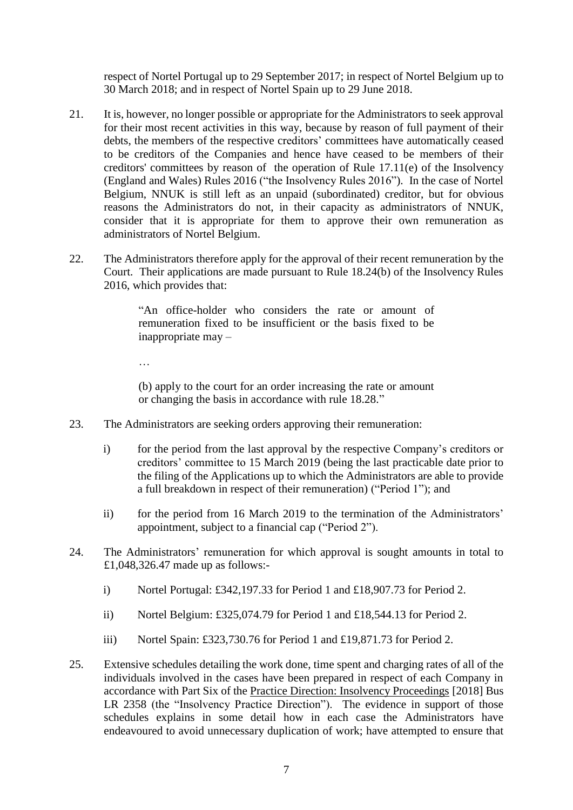respect of Nortel Portugal up to 29 September 2017; in respect of Nortel Belgium up to 30 March 2018; and in respect of Nortel Spain up to 29 June 2018.

- 21. It is, however, no longer possible or appropriate for the Administrators to seek approval for their most recent activities in this way, because by reason of full payment of their debts, the members of the respective creditors' committees have automatically ceased to be creditors of the Companies and hence have ceased to be members of their creditors' committees by reason of the operation of Rule 17.11(e) of the Insolvency (England and Wales) Rules 2016 ("the Insolvency Rules 2016"). In the case of Nortel Belgium, NNUK is still left as an unpaid (subordinated) creditor, but for obvious reasons the Administrators do not, in their capacity as administrators of NNUK, consider that it is appropriate for them to approve their own remuneration as administrators of Nortel Belgium.
- 22. The Administrators therefore apply for the approval of their recent remuneration by the Court. Their applications are made pursuant to Rule 18.24(b) of the Insolvency Rules 2016, which provides that:

"An office-holder who considers the rate or amount of remuneration fixed to be insufficient or the basis fixed to be inappropriate may –

…

(b) apply to the court for an order increasing the rate or amount or changing the basis in accordance with rule 18.28."

- 23. The Administrators are seeking orders approving their remuneration:
	- i) for the period from the last approval by the respective Company's creditors or creditors' committee to 15 March 2019 (being the last practicable date prior to the filing of the Applications up to which the Administrators are able to provide a full breakdown in respect of their remuneration) ("Period 1"); and
	- ii) for the period from 16 March 2019 to the termination of the Administrators' appointment, subject to a financial cap ("Period 2").
- 24. The Administrators' remuneration for which approval is sought amounts in total to £1,048,326.47 made up as follows:
	- i) Nortel Portugal: £342,197.33 for Period 1 and £18,907.73 for Period 2.
	- ii) Nortel Belgium: £325,074.79 for Period 1 and £18,544.13 for Period 2.
	- iii) Nortel Spain: £323,730.76 for Period 1 and £19,871.73 for Period 2.
- 25. Extensive schedules detailing the work done, time spent and charging rates of all of the individuals involved in the cases have been prepared in respect of each Company in accordance with Part Six of the Practice Direction: Insolvency Proceedings [2018] Bus LR 2358 (the "Insolvency Practice Direction"). The evidence in support of those schedules explains in some detail how in each case the Administrators have endeavoured to avoid unnecessary duplication of work; have attempted to ensure that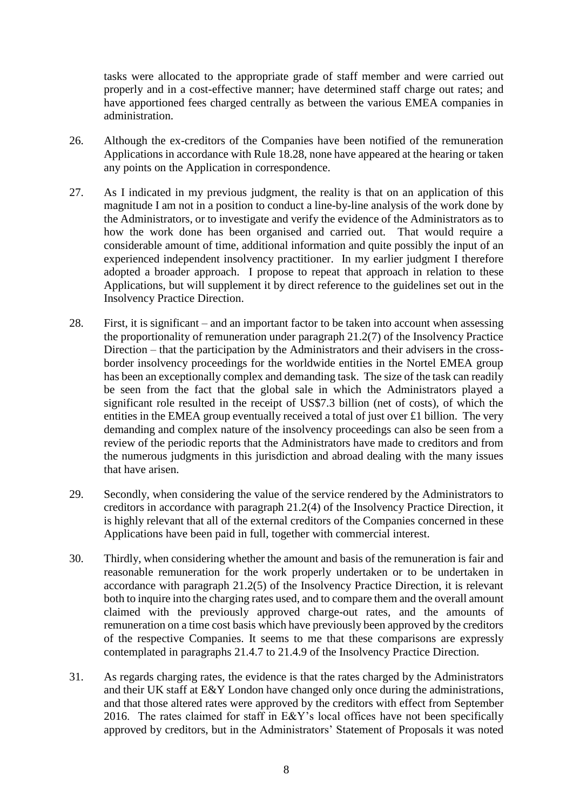tasks were allocated to the appropriate grade of staff member and were carried out properly and in a cost-effective manner; have determined staff charge out rates; and have apportioned fees charged centrally as between the various EMEA companies in administration.

- 26. Although the ex-creditors of the Companies have been notified of the remuneration Applications in accordance with Rule 18.28, none have appeared at the hearing or taken any points on the Application in correspondence.
- 27. As I indicated in my previous judgment, the reality is that on an application of this magnitude I am not in a position to conduct a line-by-line analysis of the work done by the Administrators, or to investigate and verify the evidence of the Administrators as to how the work done has been organised and carried out. That would require a considerable amount of time, additional information and quite possibly the input of an experienced independent insolvency practitioner. In my earlier judgment I therefore adopted a broader approach. I propose to repeat that approach in relation to these Applications, but will supplement it by direct reference to the guidelines set out in the Insolvency Practice Direction.
- 28. First, it is significant and an important factor to be taken into account when assessing the proportionality of remuneration under paragraph 21.2(7) of the Insolvency Practice Direction – that the participation by the Administrators and their advisers in the crossborder insolvency proceedings for the worldwide entities in the Nortel EMEA group has been an exceptionally complex and demanding task. The size of the task can readily be seen from the fact that the global sale in which the Administrators played a significant role resulted in the receipt of US\$7.3 billion (net of costs), of which the entities in the EMEA group eventually received a total of just over £1 billion. The very demanding and complex nature of the insolvency proceedings can also be seen from a review of the periodic reports that the Administrators have made to creditors and from the numerous judgments in this jurisdiction and abroad dealing with the many issues that have arisen.
- 29. Secondly, when considering the value of the service rendered by the Administrators to creditors in accordance with paragraph 21.2(4) of the Insolvency Practice Direction, it is highly relevant that all of the external creditors of the Companies concerned in these Applications have been paid in full, together with commercial interest.
- 30. Thirdly, when considering whether the amount and basis of the remuneration is fair and reasonable remuneration for the work properly undertaken or to be undertaken in accordance with paragraph 21.2(5) of the Insolvency Practice Direction, it is relevant both to inquire into the charging rates used, and to compare them and the overall amount claimed with the previously approved charge-out rates, and the amounts of remuneration on a time cost basis which have previously been approved by the creditors of the respective Companies. It seems to me that these comparisons are expressly contemplated in paragraphs 21.4.7 to 21.4.9 of the Insolvency Practice Direction.
- 31. As regards charging rates, the evidence is that the rates charged by the Administrators and their UK staff at E&Y London have changed only once during the administrations, and that those altered rates were approved by the creditors with effect from September 2016. The rates claimed for staff in E&Y's local offices have not been specifically approved by creditors, but in the Administrators' Statement of Proposals it was noted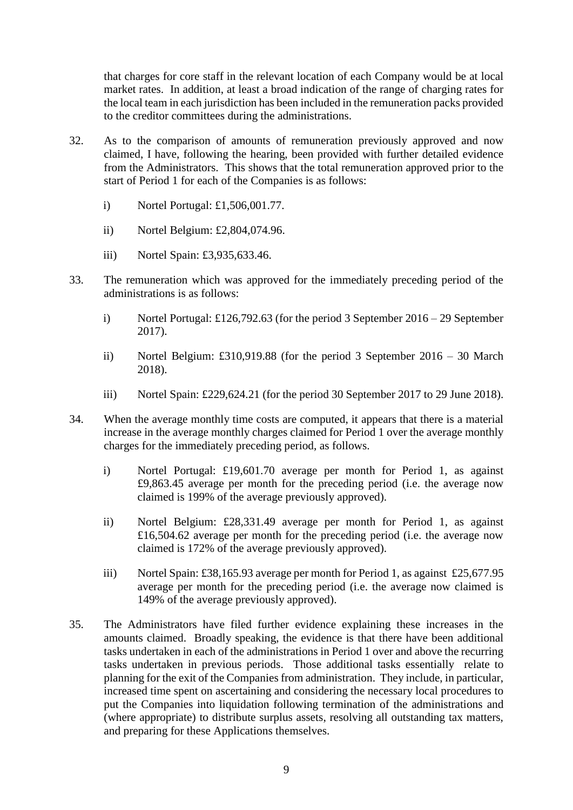that charges for core staff in the relevant location of each Company would be at local market rates. In addition, at least a broad indication of the range of charging rates for the local team in each jurisdiction has been included in the remuneration packs provided to the creditor committees during the administrations.

- 32. As to the comparison of amounts of remuneration previously approved and now claimed, I have, following the hearing, been provided with further detailed evidence from the Administrators. This shows that the total remuneration approved prior to the start of Period 1 for each of the Companies is as follows:
	- i) Nortel Portugal: £1,506,001.77.
	- ii) Nortel Belgium: £2,804,074.96.
	- iii) Nortel Spain: £3,935,633.46.
- 33. The remuneration which was approved for the immediately preceding period of the administrations is as follows:
	- i) Nortel Portugal: £126,792.63 (for the period 3 September 2016 29 September 2017).
	- ii) Nortel Belgium: £310,919.88 (for the period 3 September 2016 30 March 2018).
	- iii) Nortel Spain: £229,624.21 (for the period 30 September 2017 to 29 June 2018).
- 34. When the average monthly time costs are computed, it appears that there is a material increase in the average monthly charges claimed for Period 1 over the average monthly charges for the immediately preceding period, as follows.
	- i) Nortel Portugal: £19,601.70 average per month for Period 1, as against £9,863.45 average per month for the preceding period (i.e. the average now claimed is 199% of the average previously approved).
	- ii) Nortel Belgium: £28,331.49 average per month for Period 1, as against £16,504.62 average per month for the preceding period (i.e. the average now claimed is 172% of the average previously approved).
	- iii) Nortel Spain: £38,165.93 average per month for Period 1, as against £25,677.95 average per month for the preceding period (i.e. the average now claimed is 149% of the average previously approved).
- 35. The Administrators have filed further evidence explaining these increases in the amounts claimed. Broadly speaking, the evidence is that there have been additional tasks undertaken in each of the administrations in Period 1 over and above the recurring tasks undertaken in previous periods. Those additional tasks essentially relate to planning for the exit of the Companies from administration. They include, in particular, increased time spent on ascertaining and considering the necessary local procedures to put the Companies into liquidation following termination of the administrations and (where appropriate) to distribute surplus assets, resolving all outstanding tax matters, and preparing for these Applications themselves.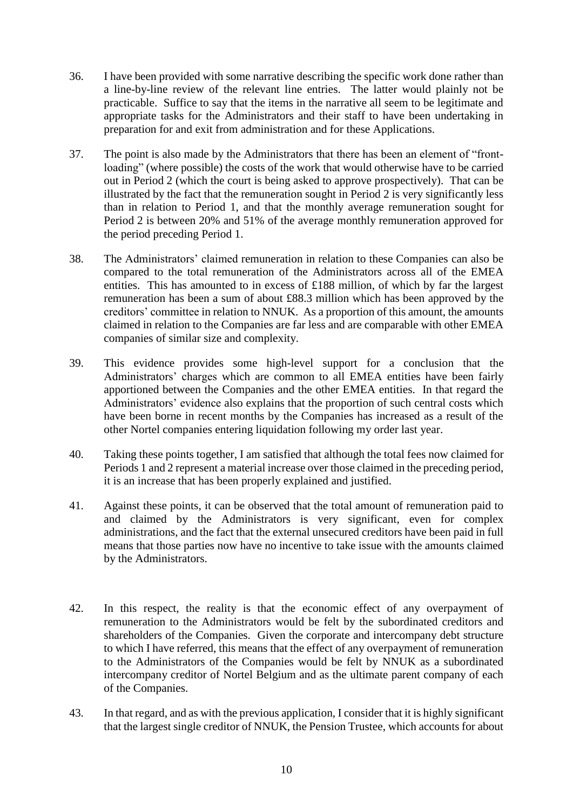- 36. I have been provided with some narrative describing the specific work done rather than a line-by-line review of the relevant line entries. The latter would plainly not be practicable. Suffice to say that the items in the narrative all seem to be legitimate and appropriate tasks for the Administrators and their staff to have been undertaking in preparation for and exit from administration and for these Applications.
- 37. The point is also made by the Administrators that there has been an element of "frontloading" (where possible) the costs of the work that would otherwise have to be carried out in Period 2 (which the court is being asked to approve prospectively). That can be illustrated by the fact that the remuneration sought in Period 2 is very significantly less than in relation to Period 1, and that the monthly average remuneration sought for Period 2 is between 20% and 51% of the average monthly remuneration approved for the period preceding Period 1.
- 38. The Administrators' claimed remuneration in relation to these Companies can also be compared to the total remuneration of the Administrators across all of the EMEA entities. This has amounted to in excess of £188 million, of which by far the largest remuneration has been a sum of about £88.3 million which has been approved by the creditors' committee in relation to NNUK. As a proportion of this amount, the amounts claimed in relation to the Companies are far less and are comparable with other EMEA companies of similar size and complexity.
- 39. This evidence provides some high-level support for a conclusion that the Administrators' charges which are common to all EMEA entities have been fairly apportioned between the Companies and the other EMEA entities. In that regard the Administrators' evidence also explains that the proportion of such central costs which have been borne in recent months by the Companies has increased as a result of the other Nortel companies entering liquidation following my order last year.
- 40. Taking these points together, I am satisfied that although the total fees now claimed for Periods 1 and 2 represent a material increase over those claimed in the preceding period, it is an increase that has been properly explained and justified.
- 41. Against these points, it can be observed that the total amount of remuneration paid to and claimed by the Administrators is very significant, even for complex administrations, and the fact that the external unsecured creditors have been paid in full means that those parties now have no incentive to take issue with the amounts claimed by the Administrators.
- 42. In this respect, the reality is that the economic effect of any overpayment of remuneration to the Administrators would be felt by the subordinated creditors and shareholders of the Companies. Given the corporate and intercompany debt structure to which I have referred, this means that the effect of any overpayment of remuneration to the Administrators of the Companies would be felt by NNUK as a subordinated intercompany creditor of Nortel Belgium and as the ultimate parent company of each of the Companies.
- 43. In that regard, and as with the previous application, I consider that it is highly significant that the largest single creditor of NNUK, the Pension Trustee, which accounts for about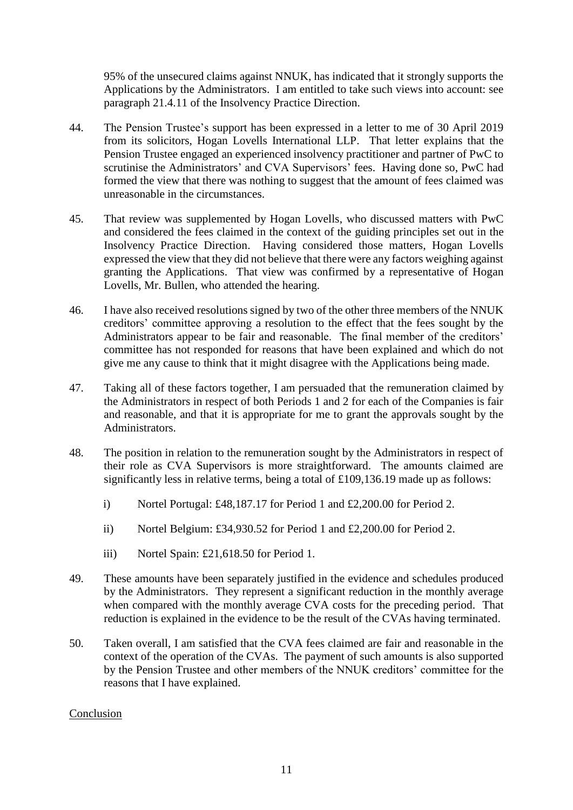95% of the unsecured claims against NNUK, has indicated that it strongly supports the Applications by the Administrators. I am entitled to take such views into account: see paragraph 21.4.11 of the Insolvency Practice Direction.

- 44. The Pension Trustee's support has been expressed in a letter to me of 30 April 2019 from its solicitors, Hogan Lovells International LLP. That letter explains that the Pension Trustee engaged an experienced insolvency practitioner and partner of PwC to scrutinise the Administrators' and CVA Supervisors' fees. Having done so, PwC had formed the view that there was nothing to suggest that the amount of fees claimed was unreasonable in the circumstances.
- 45. That review was supplemented by Hogan Lovells, who discussed matters with PwC and considered the fees claimed in the context of the guiding principles set out in the Insolvency Practice Direction. Having considered those matters, Hogan Lovells expressed the view that they did not believe that there were any factors weighing against granting the Applications. That view was confirmed by a representative of Hogan Lovells, Mr. Bullen, who attended the hearing.
- 46. I have also received resolutions signed by two of the other three members of the NNUK creditors' committee approving a resolution to the effect that the fees sought by the Administrators appear to be fair and reasonable. The final member of the creditors' committee has not responded for reasons that have been explained and which do not give me any cause to think that it might disagree with the Applications being made.
- 47. Taking all of these factors together, I am persuaded that the remuneration claimed by the Administrators in respect of both Periods 1 and 2 for each of the Companies is fair and reasonable, and that it is appropriate for me to grant the approvals sought by the Administrators.
- 48. The position in relation to the remuneration sought by the Administrators in respect of their role as CVA Supervisors is more straightforward. The amounts claimed are significantly less in relative terms, being a total of £109,136.19 made up as follows:
	- i) Nortel Portugal: £48,187.17 for Period 1 and £2,200.00 for Period 2.
	- ii) Nortel Belgium: £34,930.52 for Period 1 and £2,200.00 for Period 2.
	- iii) Nortel Spain: £21,618.50 for Period 1.
- 49. These amounts have been separately justified in the evidence and schedules produced by the Administrators. They represent a significant reduction in the monthly average when compared with the monthly average CVA costs for the preceding period. That reduction is explained in the evidence to be the result of the CVAs having terminated.
- 50. Taken overall, I am satisfied that the CVA fees claimed are fair and reasonable in the context of the operation of the CVAs. The payment of such amounts is also supported by the Pension Trustee and other members of the NNUK creditors' committee for the reasons that I have explained.

## Conclusion